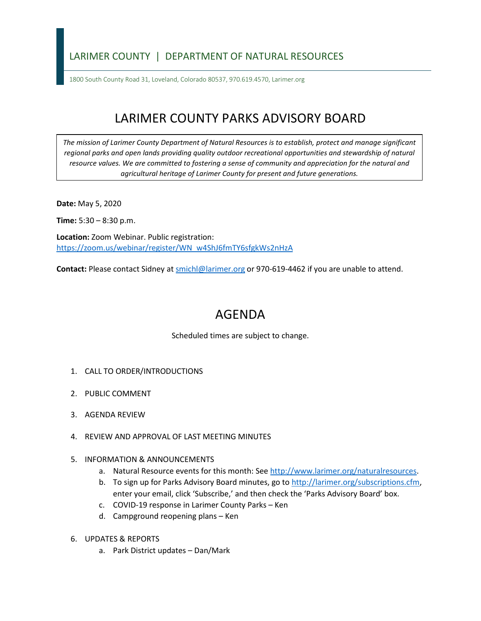## LARIMER COUNTY | DEPARTMENT OF NATURAL RESOURCES

1800 South County Road 31, Loveland, Colorado 80537, 970.619.4570, Larimer.org

## LARIMER COUNTY PARKS ADVISORY BOARD

*The mission of Larimer County Department of Natural Resources is to establish, protect and manage significant*  regional parks and open lands providing quality outdoor recreational opportunities and stewardship of natural *resource values. We are committed to fostering a sense of community and appreciation for the natural and agricultural heritage of Larimer County for present and future generations.*

**Date:** May 5, 2020

**Time:** 5:30 – 8:30 p.m.

**Location:** Zoom Webinar. Public registration: [https://zoom.us/webinar/register/WN\\_w4ShJ6fmTY6sfgkWs2nHzA](https://zoom.us/webinar/register/WN_w4ShJ6fmTY6sfgkWs2nHzA)

Contact: Please contact Sidney at **smichl@larimer.org** or 970-619-4462 if you are unable to attend.

## AGENDA

Scheduled times are subject to change.

- 1. CALL TO ORDER/INTRODUCTIONS
- 2. PUBLIC COMMENT
- 3. AGENDA REVIEW
- 4. REVIEW AND APPROVAL OF LAST MEETING MINUTES
- 5. INFORMATION & ANNOUNCEMENTS
	- a. Natural Resource events for this month: See [http://www.larimer.org/naturalresources.](http://www.larimer.org/naturalresources)
	- b. To sign up for Parks Advisory Board minutes, go to [http://larimer.org/subscriptions.cfm,](http://larimer.org/subscriptions.cfm) enter your email, click 'Subscribe,' and then check the 'Parks Advisory Board' box.
	- c. COVID-19 response in Larimer County Parks Ken
	- d. Campground reopening plans Ken
- 6. UPDATES & REPORTS
	- a. Park District updates Dan/Mark